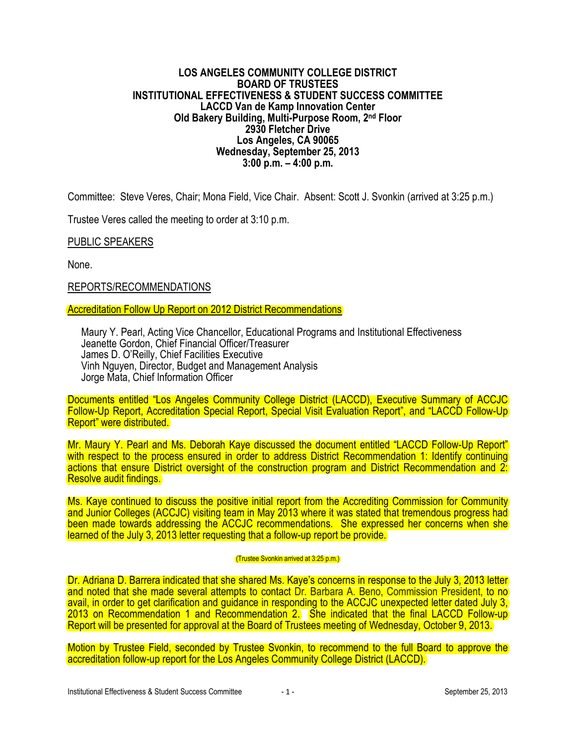## **LOS ANGELES COMMUNITY COLLEGE DISTRICT BOARD OF TRUSTEES INSTITUTIONAL EFFECTIVENESS & STUDENT SUCCESS COMMITTEE LACCD Van de Kamp Innovation Center Old Bakery Building, Multi-Purpose Room, 2nd Floor 2930 Fletcher Drive Los Angeles, CA 90065 Wednesday, September 25, 2013 3:00 p.m. – 4:00 p.m.**

Committee: Steve Veres, Chair; Mona Field, Vice Chair. Absent: Scott J. Svonkin (arrived at 3:25 p.m.)

Trustee Veres called the meeting to order at 3:10 p.m.

PUBLIC SPEAKERS

None.

REPORTS/RECOMMENDATIONS

Accreditation Follow Up Report on 2012 District Recommendations

Maury Y. Pearl, Acting Vice Chancellor, Educational Programs and Institutional Effectiveness Jeanette Gordon, Chief Financial Officer/Treasurer James D. O'Reilly, Chief Facilities Executive Vinh Nguyen, Director, Budget and Management Analysis Jorge Mata, Chief Information Officer

Documents entitled "Los Angeles Community College District (LACCD), Executive Summary of ACCJC Follow-Up Report, Accreditation Special Report, Special Visit Evaluation Report", and "LACCD Follow-Up Report" were distributed.

Mr. Maury Y. Pearl and Ms. Deborah Kaye discussed the document entitled "LACCD Follow-Up Report" with respect to the process ensured in order to address District Recommendation 1: Identify continuing actions that ensure District oversight of the construction program and District Recommendation and 2: Resolve audit findings.

Ms. Kaye continued to discuss the positive initial report from the Accrediting Commission for Community and Junior Colleges (ACCJC) visiting team in May 2013 where it was stated that tremendous progress had been made towards addressing the ACCJC recommendations. She expressed her concerns when she learned of the July 3, 2013 letter requesting that a follow-up report be provide.

## (Trustee Svonkin arrived at 3:25 p.m.)

Dr. Adriana D. Barrera indicated that she shared Ms. Kaye's concerns in response to the July 3, 2013 letter and noted that she made several attempts to contact Dr. Barbara A. Beno, Commission President, to no avail, in order to get clarification and guidance in responding to the ACCJC unexpected letter dated July 3, 2013 on Recommendation 1 and Recommendation 2. She indicated that the final LACCD Follow-up Report will be presented for approval at the Board of Trustees meeting of Wednesday, October 9, 2013.

Motion by Trustee Field, seconded by Trustee Svonkin, to recommend to the full Board to approve the accreditation follow-up report for the Los Angeles Community College District (LACCD).